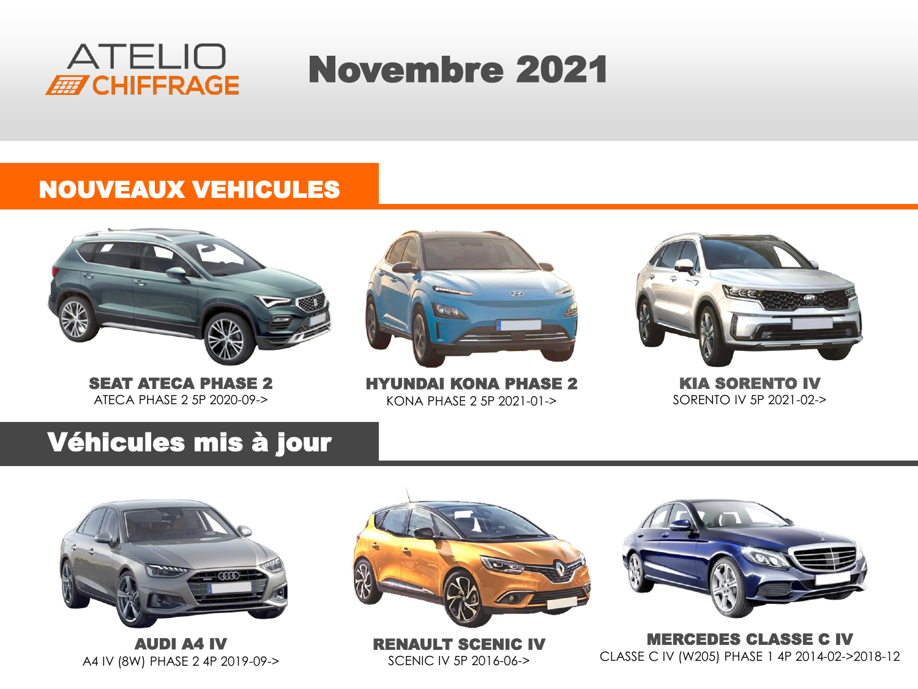

# Novembre 2021

#### NOUVEAUX VEHICULES



SEAT ATECA PHASE 2 ATECA PHASE 2 5P 2020-09->



HYUNDAI KONA PHASE 2 KONA PHASE 2 5P 2021-01->



KIA SORENTO IV SORENTO IV 5P 2021-02->

#### Véhicules mis à jour



AUDI A4 IV A4 IV (8W) PHASE 2 4P 2019-09->



RENAULT SCENIC IV SCENIC IV 5P 2016-06->



MERCEDES CLASSE C IV CLASSE C IV (W205) PHASE 1 4P 2014-02->2018-12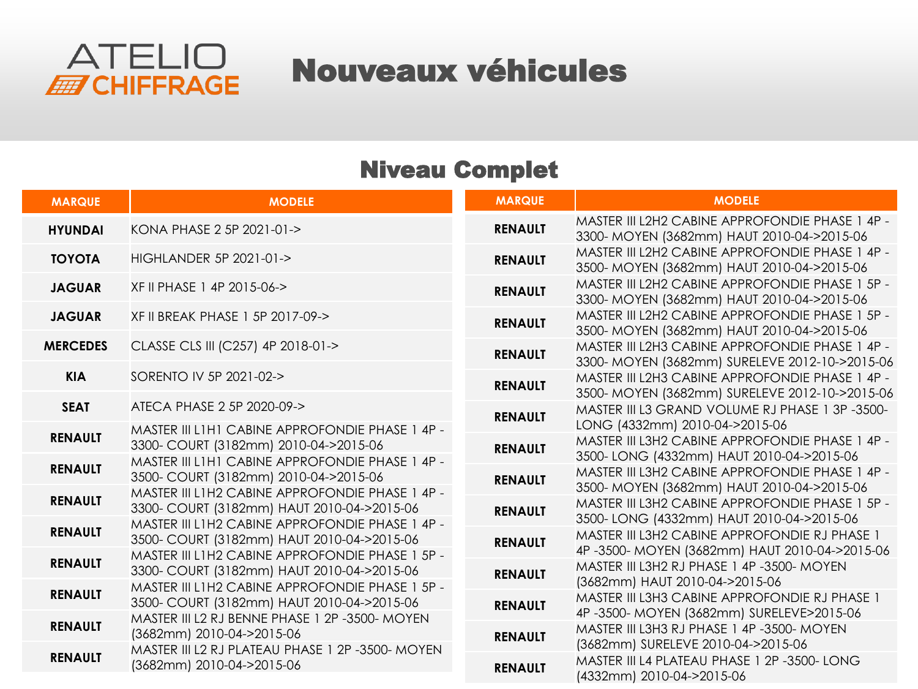

### Nouveaux véhicules

#### Niveau Complet

| <b>MARQUE</b>   | <b>MODELE</b>                                                                                 | <b>MARQUE</b>  | <b>MODELE</b>                                                                                     |
|-----------------|-----------------------------------------------------------------------------------------------|----------------|---------------------------------------------------------------------------------------------------|
| <b>HYUNDAI</b>  | KONA PHASE 2 5P 2021-01->                                                                     | <b>RENAULT</b> | MASTER III L2H2 CABINE APPROFONDIE PHASE 1 4P -<br>3300- MOYEN (3682mm) HAUT 2010-04->2015-06     |
| <b>TOYOTA</b>   | HIGHLANDER 5P 2021-01->                                                                       | <b>RENAULT</b> | MASTER III L2H2 CABINE APPROFONDIE PHASE 1 4P -<br>3500- MOYEN (3682mm) HAUT 2010-04->2015-06     |
| <b>JAGUAR</b>   | XF II PHASE 1 4P 2015-06->                                                                    | <b>RENAULT</b> | MASTER III L2H2 CABINE APPROFONDIE PHASE 1 5P -<br>3300- MOYEN (3682mm) HAUT 2010-04->2015-06     |
| <b>JAGUAR</b>   | XF II BREAK PHASE 1 5P 2017-09->                                                              | <b>RENAULT</b> | MASTER III L2H2 CABINE APPROFONDIE PHASE 1 5P -<br>3500- MOYEN (3682mm) HAUT 2010-04->2015-06     |
| <b>MERCEDES</b> | CLASSE CLS III (C257) 4P 2018-01->                                                            | <b>RENAULT</b> | MASTER III L2H3 CABINE APPROFONDIE PHASE 1 4P -<br>3300- MOYEN (3682mm) SURELEVE 2012-10->2015-06 |
| <b>KIA</b>      | SORENTO IV 5P 2021-02->                                                                       | <b>RENAULT</b> | MASTER III L2H3 CABINE APPROFONDIE PHASE 1 4P -<br>3500- MOYEN (3682mm) SURELEVE 2012-10->2015-06 |
| <b>SEAT</b>     | ATECA PHASE 2 5P 2020-09->                                                                    | <b>RENAULT</b> | MASTER III L3 GRAND VOLUME RJ PHASE 1 3P-3500-<br>LONG (4332mm) 2010-04->2015-06                  |
| <b>RENAULT</b>  | MASTER III L1H1 CABINE APPROFONDIE PHASE 1 4P -<br>3300- COURT (3182mm) 2010-04->2015-06      | <b>RENAULT</b> | MASTER III L3H2 CABINE APPROFONDIE PHASE 1 4P -                                                   |
| <b>RENAULT</b>  | MASTER III L1H1 CABINE APPROFONDIE PHASE 1 4P -<br>3500- COURT (3182mm) 2010-04->2015-06      | <b>RENAULT</b> | 3500-LONG (4332mm) HAUT 2010-04->2015-06<br>MASTER III L3H2 CABINE APPROFONDIE PHASE 1 4P -       |
| <b>RENAULT</b>  | MASTER III L1H2 CABINE APPROFONDIE PHASE 1 4P -<br>3300- COURT (3182mm) HAUT 2010-04->2015-06 | <b>RENAULT</b> | 3500- MOYEN (3682mm) HAUT 2010-04->2015-06<br>MASTER III L3H2 CABINE APPROFONDIE PHASE 1 5P -     |
| <b>RENAULT</b>  | MASTER III L1H2 CABINE APPROFONDIE PHASE 1 4P -<br>3500- COURT (3182mm) HAUT 2010-04->2015-06 | <b>RENAULT</b> | 3500-LONG (4332mm) HAUT 2010-04->2015-06<br>MASTER III L3H2 CABINE APPROFONDIE RJ PHASE 1         |
| <b>RENAULT</b>  | MASTER III L1H2 CABINE APPROFONDIE PHASE 1 5P -<br>3300- COURT (3182mm) HAUT 2010-04->2015-06 | <b>RENAULT</b> | 4P-3500-MOYEN (3682mm) HAUT 2010-04->2015-06<br>MASTER III L3H2 RJ PHASE 1 4P -3500- MOYEN        |
| <b>RENAULT</b>  | MASTER III L1H2 CABINE APPROFONDIE PHASE 1 5P -                                               |                | (3682mm) HAUT 2010-04->2015-06<br>MASTER III L3H3 CABINE APPROFONDIE RJ PHASE 1                   |
| <b>RENAULT</b>  | 3500- COURT (3182mm) HAUT 2010-04->2015-06<br>MASTER III L2 RJ BENNE PHASE 1 2P -3500- MOYEN  | <b>RENAULT</b> | 4P-3500-MOYEN (3682mm) SURELEVE>2015-06                                                           |
|                 | (3682mm) 2010-04->2015-06<br>MASTER III L2 RJ PLATEAU PHASE 1 2P -3500- MOYEN                 | <b>RENAULT</b> | MASTER III L3H3 RJ PHASE 1 4P -3500- MOYEN<br>(3682mm) SURELEVE 2010-04->2015-06                  |
| <b>RENAULT</b>  | (3682mm) 2010-04->2015-06                                                                     | <b>RENAULT</b> | MASTER III L4 PLATEAU PHASE 1 2P -3500- LONG<br>(4332mm) 2010-04->2015-06                         |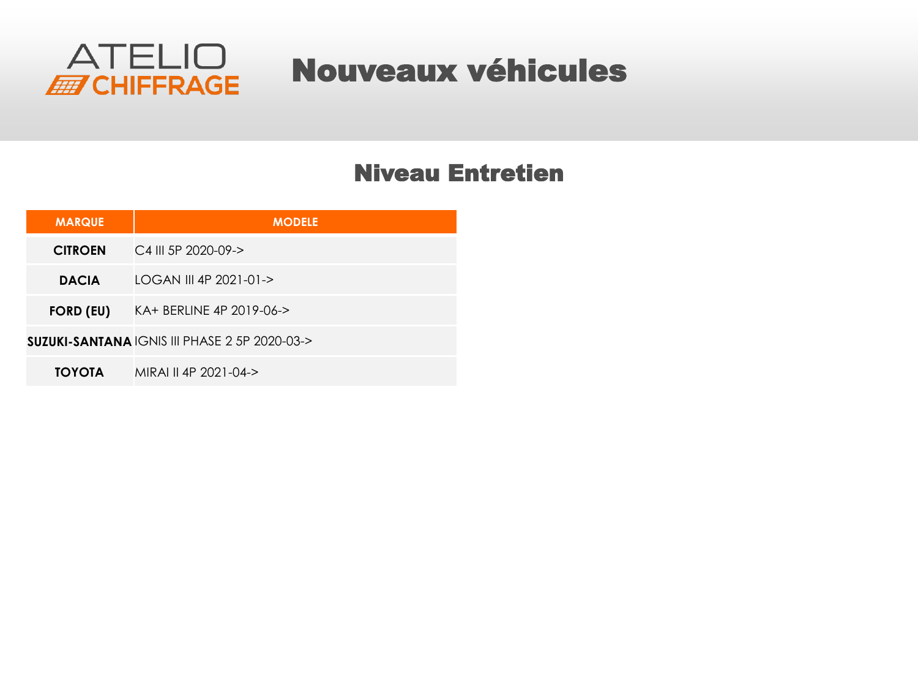

### Nouveaux véhicules

#### Niveau Entretien

| <b>MARQUE</b>    | <b>MODELE</b>                                           |
|------------------|---------------------------------------------------------|
| <b>CITROEN</b>   | $C4$ III 5P 2020-09- $>$                                |
| <b>DACIA</b>     | LOGAN III 4P 2021-01->                                  |
| <b>FORD (EU)</b> | KA+ BERLINE 4P 2019-06->                                |
|                  | <b>SUZUKI-SANTANA IGNIS III PHASE 2 5P 2020-03-&gt;</b> |
| <b>TOYOTA</b>    | MIRAI II 4P 2021-04->                                   |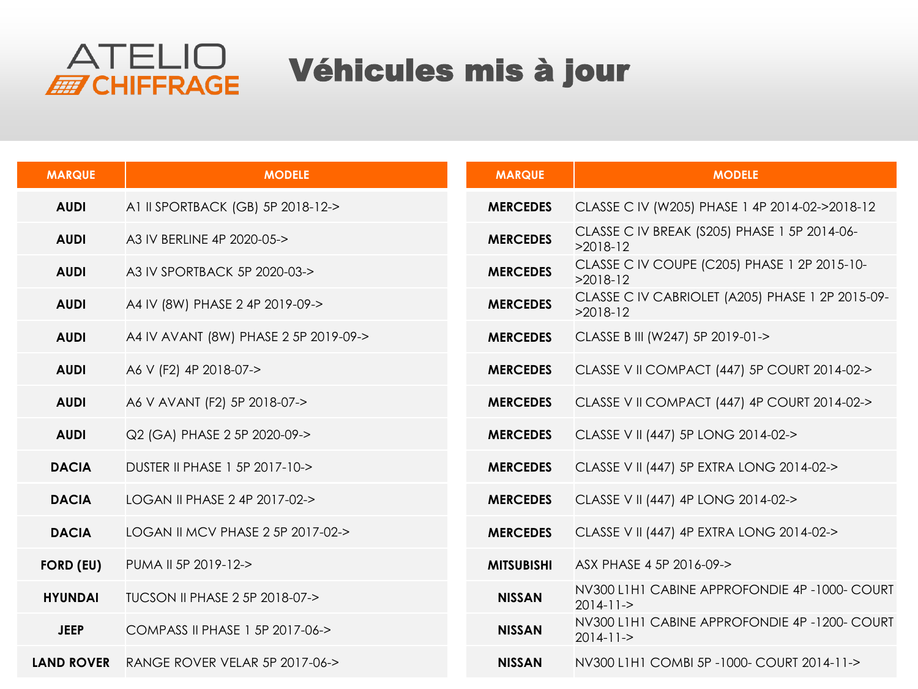

## Véhicules mis à jour

| <b>MARQUE</b>     | <b>MODELE</b>                         | <b>MARQUE</b>     | <b>MODELE</b>                                                   |
|-------------------|---------------------------------------|-------------------|-----------------------------------------------------------------|
| <b>AUDI</b>       | A1 II SPORTBACK (GB) 5P 2018-12->     | <b>MERCEDES</b>   | CLASSE C IV (W205) PHASE 1 4P 2014-02->2018-12                  |
| <b>AUDI</b>       | A3 IV BERLINE 4P 2020-05->            | <b>MERCEDES</b>   | CLASSE C IV BREAK (S205) PHASE 1 5P 2014-06-<br>$>2018-12$      |
| <b>AUDI</b>       | A3 IV SPORTBACK 5P 2020-03->          | <b>MERCEDES</b>   | CLASSE C IV COUPE (C205) PHASE 1 2P 2015-10-<br>$>2018-12$      |
| <b>AUDI</b>       | A4 IV (8W) PHASE 2 4P 2019-09->       | <b>MERCEDES</b>   | CLASSE C IV CABRIOLET (A205) PHASE 1 2P 2015-09-<br>$>2018-12$  |
| <b>AUDI</b>       | A4 IV AVANT (8W) PHASE 2 5P 2019-09-> | <b>MERCEDES</b>   | CLASSE B III (W247) 5P 2019-01->                                |
| <b>AUDI</b>       | A6 V (F2) 4P 2018-07->                | <b>MERCEDES</b>   | CLASSE V II COMPACT (447) 5P COURT 2014-02->                    |
| <b>AUDI</b>       | A6 V AVANT (F2) 5P 2018-07->          | <b>MERCEDES</b>   | CLASSE V II COMPACT (447) 4P COURT 2014-02->                    |
| <b>AUDI</b>       | Q2 (GA) PHASE 2 5P 2020-09->          | <b>MERCEDES</b>   | CLASSE V II (447) 5P LONG 2014-02->                             |
| <b>DACIA</b>      | DUSTER II PHASE 1 5P 2017-10->        | <b>MERCEDES</b>   | CLASSE V II (447) 5P EXTRA LONG 2014-02->                       |
| <b>DACIA</b>      | LOGAN II PHASE 2 4P 2017-02->         | <b>MERCEDES</b>   | CLASSE V II (447) 4P LONG 2014-02->                             |
| <b>DACIA</b>      | LOGAN II MCV PHASE 2 5P 2017-02->     | <b>MERCEDES</b>   | CLASSE V II (447) 4P EXTRA LONG 2014-02->                       |
| <b>FORD (EU)</b>  | PUMA II 5P 2019-12->                  | <b>MITSUBISHI</b> | ASX PHASE 4 5P 2016-09->                                        |
| <b>HYUNDAI</b>    | TUCSON II PHASE 2 5P 2018-07->        | <b>NISSAN</b>     | NV300 L1H1 CABINE APPROFONDIE 4P-1000- COURT<br>$2014 - 11 - >$ |
| <b>JEEP</b>       | COMPASS II PHASE 1 5P 2017-06->       | <b>NISSAN</b>     | NV300 L1H1 CABINE APPROFONDIE 4P-1200- COURT<br>$2014 - 11 - >$ |
| <b>LAND ROVER</b> | RANGE ROVER VELAR 5P 2017-06->        | <b>NISSAN</b>     | NV300 L1H1 COMBI 5P-1000- COURT 2014-11->                       |